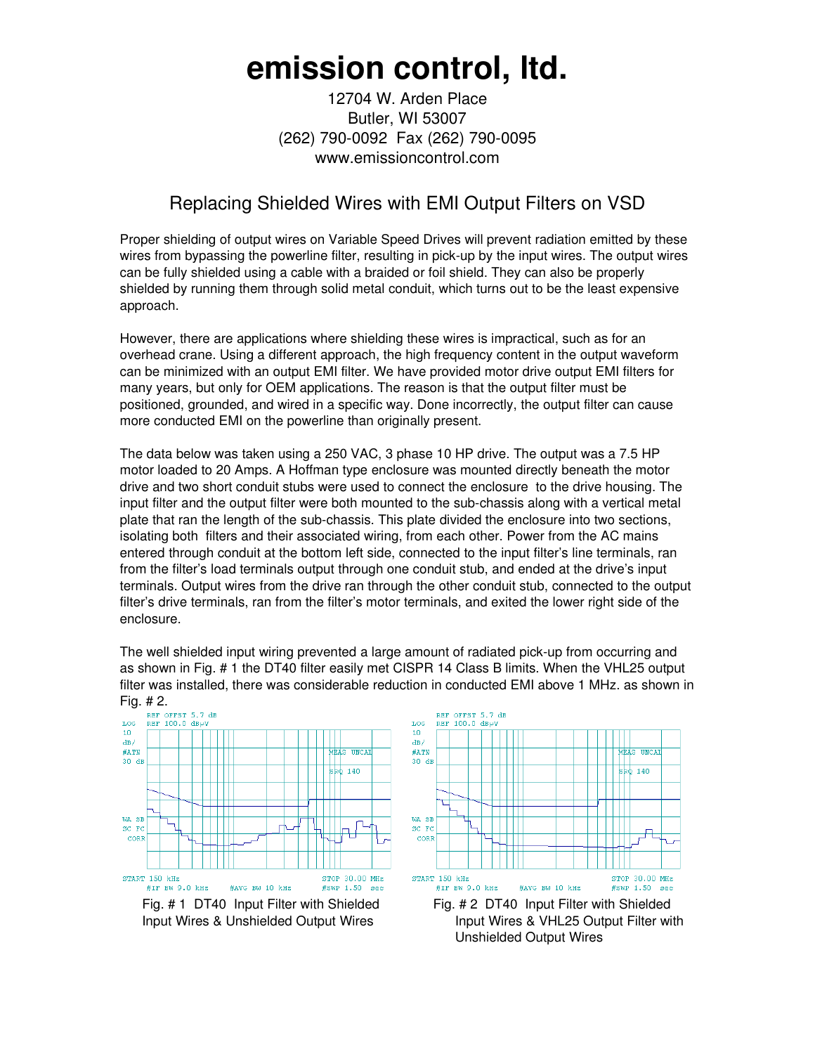## **emission control, ltd.**

12704 W. Arden Place Butler, WI 53007 (262) 790-0092 Fax (262) 790-0095 www.emissioncontrol.com

## Replacing Shielded Wires with EMI Output Filters on VSD

Proper shielding of output wires on Variable Speed Drives will prevent radiation emitted by these wires from bypassing the powerline filter, resulting in pick-up by the input wires. The output wires can be fully shielded using a cable with a braided or foil shield. They can also be properly shielded by running them through solid metal conduit, which turns out to be the least expensive approach.

However, there are applications where shielding these wires is impractical, such as for an overhead crane. Using a different approach, the high frequency content in the output waveform can be minimized with an output EMI filter. We have provided motor drive output EMI filters for many years, but only for OEM applications. The reason is that the output filter must be positioned, grounded, and wired in a specific way. Done incorrectly, the output filter can cause more conducted EMI on the powerline than originally present.

The data below was taken using a 250 VAC, 3 phase 10 HP drive. The output was a 7.5 HP motor loaded to 20 Amps. A Hoffman type enclosure was mounted directly beneath the motor drive and two short conduit stubs were used to connect the enclosure to the drive housing. The input filter and the output filter were both mounted to the sub-chassis along with a vertical metal plate that ran the length of the sub-chassis. This plate divided the enclosure into two sections, isolating both filters and their associated wiring, from each other. Power from the AC mains entered through conduit at the bottom left side, connected to the input filter's line terminals, ran from the filter's load terminals output through one conduit stub, and ended at the drive's input terminals. Output wires from the drive ran through the other conduit stub, connected to the output filter's drive terminals, ran from the filter's motor terminals, and exited the lower right side of the enclosure.

The well shielded input wiring prevented a large amount of radiated pick-up from occurring and as shown in Fig. # 1 the DT40 filter easily met CISPR 14 Class B limits. When the VHL25 output filter was installed, there was considerable reduction in conducted EMI above 1 MHz. as shown in



Fig. # 1 DT40 Input Filter with Shielded Fig. # 2 DT40 Input Filter with Shielded



Input Wires & Unshielded Output Wires **Input Wires & VHL25 Output Filter with** Unshielded Output Wires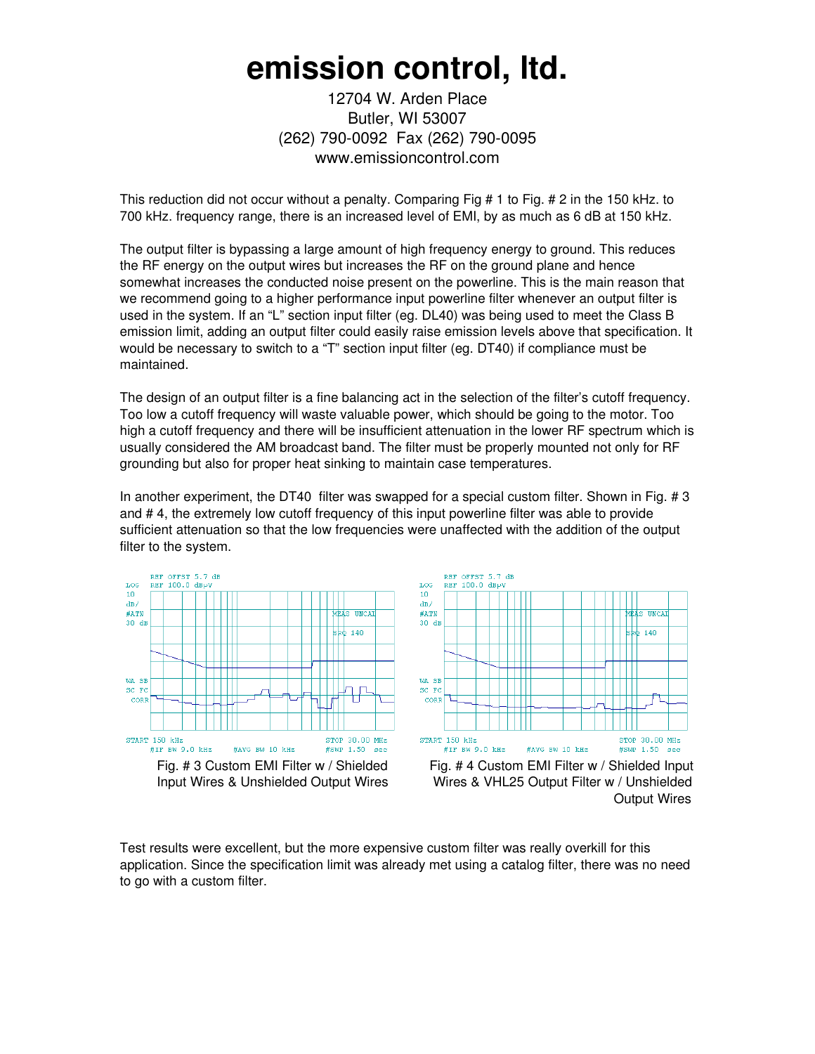## **emission control, ltd.**

12704 W. Arden Place Butler, WI 53007 (262) 790-0092 Fax (262) 790-0095 www.emissioncontrol.com

This reduction did not occur without a penalty. Comparing Fig # 1 to Fig. # 2 in the 150 kHz. to 700 kHz. frequency range, there is an increased level of EMI, by as much as 6 dB at 150 kHz.

The output filter is bypassing a large amount of high frequency energy to ground. This reduces the RF energy on the output wires but increases the RF on the ground plane and hence somewhat increases the conducted noise present on the powerline. This is the main reason that we recommend going to a higher performance input powerline filter whenever an output filter is used in the system. If an "L" section input filter (eg. DL40) was being used to meet the Class B emission limit, adding an output filter could easily raise emission levels above that specification. It would be necessary to switch to a "T" section input filter (eg. DT40) if compliance must be maintained.

The design of an output filter is a fine balancing act in the selection of the filter's cutoff frequency. Too low a cutoff frequency will waste valuable power, which should be going to the motor. Too high a cutoff frequency and there will be insufficient attenuation in the lower RF spectrum which is usually considered the AM broadcast band. The filter must be properly mounted not only for RF grounding but also for proper heat sinking to maintain case temperatures.

In another experiment, the DT40 filter was swapped for a special custom filter. Shown in Fig. # 3 and # 4, the extremely low cutoff frequency of this input powerline filter was able to provide sufficient attenuation so that the low frequencies were unaffected with the addition of the output filter to the system.





 Input Wires & Unshielded Output Wires Wires & VHL25 Output Filter w / Unshielded Output Wires

Test results were excellent, but the more expensive custom filter was really overkill for this application. Since the specification limit was already met using a catalog filter, there was no need to go with a custom filter.